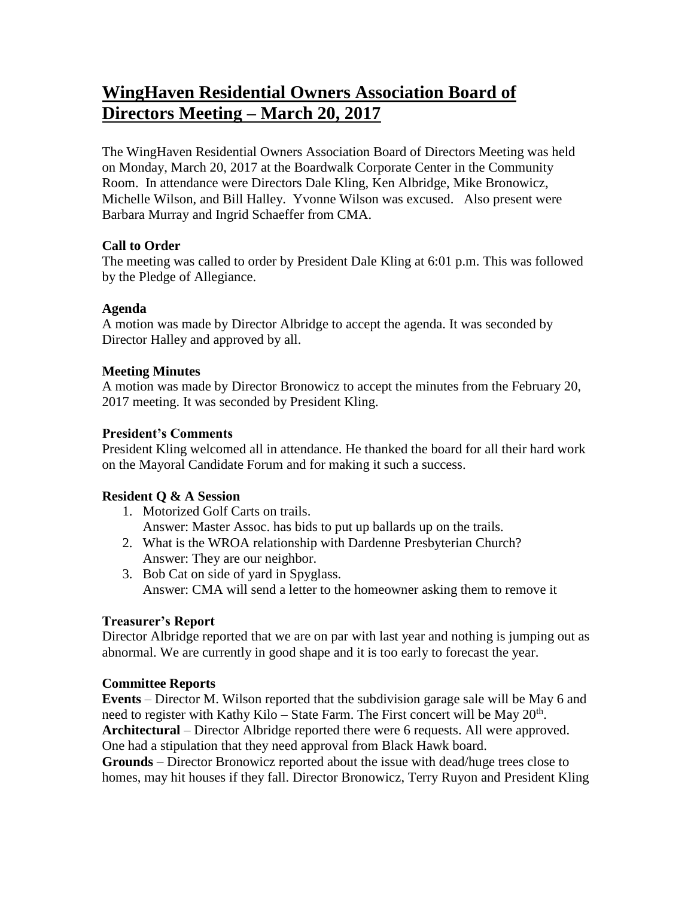# **WingHaven Residential Owners Association Board of Directors Meeting – March 20, 2017**

The WingHaven Residential Owners Association Board of Directors Meeting was held on Monday, March 20, 2017 at the Boardwalk Corporate Center in the Community Room. In attendance were Directors Dale Kling, Ken Albridge, Mike Bronowicz, Michelle Wilson, and Bill Halley. Yvonne Wilson was excused. Also present were Barbara Murray and Ingrid Schaeffer from CMA.

# **Call to Order**

The meeting was called to order by President Dale Kling at 6:01 p.m. This was followed by the Pledge of Allegiance.

## **Agenda**

A motion was made by Director Albridge to accept the agenda. It was seconded by Director Halley and approved by all.

## **Meeting Minutes**

A motion was made by Director Bronowicz to accept the minutes from the February 20, 2017 meeting. It was seconded by President Kling.

#### **President's Comments**

President Kling welcomed all in attendance. He thanked the board for all their hard work on the Mayoral Candidate Forum and for making it such a success.

# **Resident Q & A Session**

- 1. Motorized Golf Carts on trails. Answer: Master Assoc. has bids to put up ballards up on the trails.
- 2. What is the WROA relationship with Dardenne Presbyterian Church? Answer: They are our neighbor.
- 3. Bob Cat on side of yard in Spyglass. Answer: CMA will send a letter to the homeowner asking them to remove it

#### **Treasurer's Report**

Director Albridge reported that we are on par with last year and nothing is jumping out as abnormal. We are currently in good shape and it is too early to forecast the year.

#### **Committee Reports**

**Events** – Director M. Wilson reported that the subdivision garage sale will be May 6 and need to register with Kathy Kilo – State Farm. The First concert will be May  $20^{\text{th}}$ . **Architectural** – Director Albridge reported there were 6 requests. All were approved. One had a stipulation that they need approval from Black Hawk board.

**Grounds** – Director Bronowicz reported about the issue with dead/huge trees close to homes, may hit houses if they fall. Director Bronowicz, Terry Ruyon and President Kling